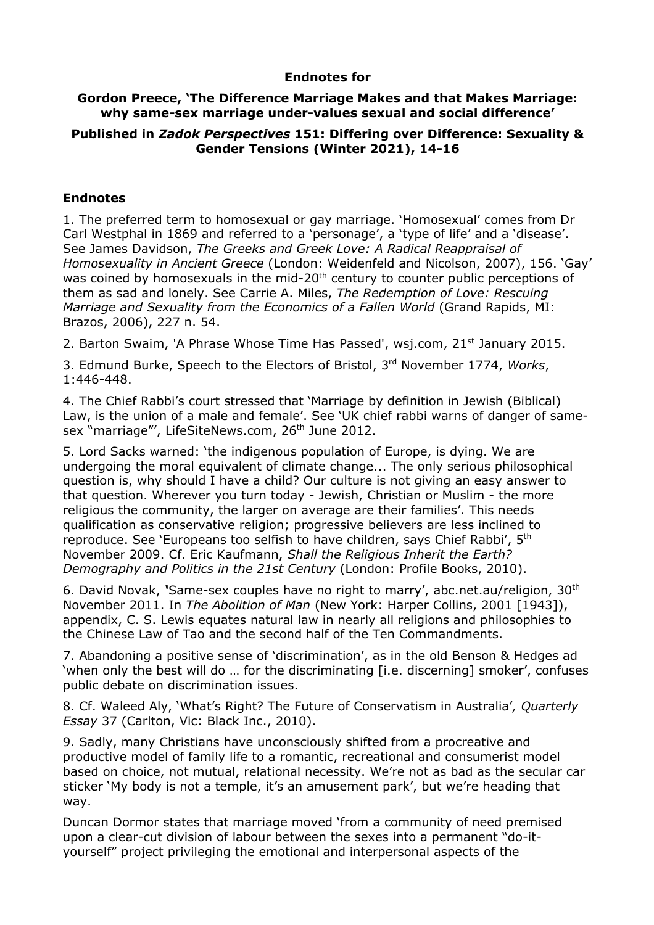## **Endnotes for**

## **Gordon Preece, 'The Difference Marriage Makes and that Makes Marriage: why same-sex marriage under-values sexual and social difference'**

## **Published in** *Zadok Perspectives* **151: Differing over Difference: Sexuality & Gender Tensions (Winter 2021), 14-16**

## **Endnotes**

1. The preferred term to homosexual or gay marriage. 'Homosexual' comes from Dr Carl Westphal in 1869 and referred to a 'personage', a 'type of life' and a 'disease'. See James Davidson, *The Greeks and Greek Love: A Radical Reappraisal of Homosexuality in Ancient Greece* (London: Weidenfeld and Nicolson, 2007), 156. 'Gay' was coined by homosexuals in the mid-20<sup>th</sup> century to counter public perceptions of them as sad and lonely. See Carrie A. Miles, *The Redemption of Love: Rescuing Marriage and Sexuality from the Economics of a Fallen World* (Grand Rapids, MI: Brazos, 2006), 227 n. 54.

2. Barton Swaim, 'A Phrase Whose Time Has Passed', wsj.com, 21<sup>st</sup> January 2015.

3. Edmund Burke, Speech to the Electors of Bristol, 3rd November 1774, *Works*, 1:446-448.

4. The Chief Rabbi's court stressed that 'Marriage by definition in Jewish (Biblical) Law, is the union of a male and female'. See 'UK chief rabbi warns of danger of samesex "marriage"', LifeSiteNews.com, 26<sup>th</sup> June 2012.

5. Lord Sacks warned: 'the indigenous population of Europe, is dying. We are undergoing the moral equivalent of climate change... The only serious philosophical question is, why should I have a child? Our culture is not giving an easy answer to that question. Wherever you turn today - Jewish, Christian or Muslim - the more religious the community, the larger on average are their families'. This needs qualification as conservative religion; progressive believers are less inclined to reproduce. See 'Europeans too selfish to have children, says Chief Rabbi', 5<sup>th</sup> November 2009. Cf. Eric Kaufmann, *Shall the Religious Inherit the Earth? Demography and Politics in the 21st Century* (London: Profile Books, 2010).

6. David Novak, *'*Same-sex couples have no right to marry', abc.net.au/religion, 30th November 2011. In *The Abolition of Man* (New York: Harper Collins, 2001 [1943]), appendix, C. S. Lewis equates natural law in nearly all religions and philosophies to the Chinese Law of Tao and the second half of the Ten Commandments.

7. Abandoning a positive sense of 'discrimination', as in the old Benson & Hedges ad 'when only the best will do … for the discriminating [i.e. discerning] smoker', confuses public debate on discrimination issues.

8. Cf. Waleed Aly, 'What's Right? The Future of Conservatism in Australia'*, Quarterly Essay* 37 (Carlton, Vic: Black Inc., 2010).

9. Sadly, many Christians have unconsciously shifted from a procreative and productive model of family life to a romantic, recreational and consumerist model based on choice, not mutual, relational necessity. We're not as bad as the secular car sticker 'My body is not a temple, it's an amusement park', but we're heading that way.

Duncan Dormor states that marriage moved 'from a community of need premised upon a clear-cut division of labour between the sexes into a permanent "do-ityourself" project privileging the emotional and interpersonal aspects of the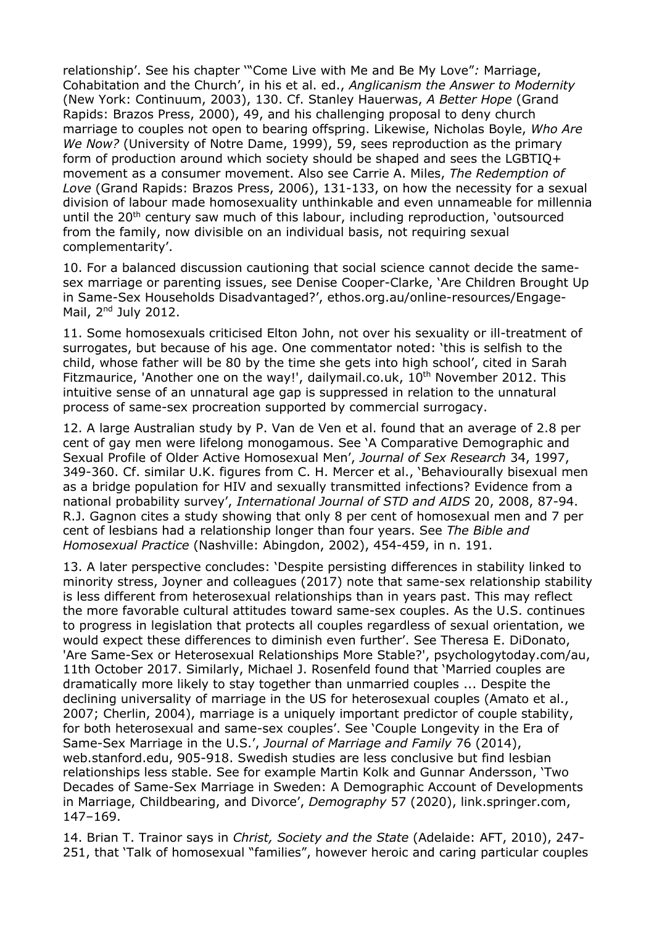relationship'. See his chapter '"Come Live with Me and Be My Love"*:* Marriage, Cohabitation and the Church', in his et al. ed., *Anglicanism the Answer to Modernity*  (New York: Continuum, 2003), 130. Cf. Stanley Hauerwas, *A Better Hope* (Grand Rapids: Brazos Press, 2000), 49, and his challenging proposal to deny church marriage to couples not open to bearing offspring. Likewise, Nicholas Boyle, *Who Are We Now?* (University of Notre Dame, 1999), 59, sees reproduction as the primary form of production around which society should be shaped and sees the LGBTIQ+ movement as a consumer movement. Also see Carrie A. Miles, *The Redemption of Love* (Grand Rapids: Brazos Press, 2006), 131-133, on how the necessity for a sexual division of labour made homosexuality unthinkable and even unnameable for millennia until the 20<sup>th</sup> century saw much of this labour, including reproduction, 'outsourced from the family, now divisible on an individual basis, not requiring sexual complementarity'.

10. For a balanced discussion cautioning that social science cannot decide the samesex marriage or parenting issues, see Denise Cooper-Clarke, 'Are Children Brought Up in Same-Sex Households Disadvantaged?', ethos.org.au/online-resources/Engage-Mail,  $2<sup>nd</sup>$  July 2012.

11. Some homosexuals criticised Elton John, not over his sexuality or ill-treatment of surrogates, but because of his age. One commentator noted: 'this is selfish to the child, whose father will be 80 by the time she gets into high school', cited in Sarah Fitzmaurice, 'Another one on the way!', dailymail.co.uk, 10<sup>th</sup> November 2012. This intuitive sense of an unnatural age gap is suppressed in relation to the unnatural process of same-sex procreation supported by commercial surrogacy.

12. A large Australian study by P. Van de Ven et al. found that an average of 2.8 per cent of gay men were lifelong monogamous. See 'A Comparative Demographic and Sexual Profile of Older Active Homosexual Men', *Journal of Sex Research* 34, 1997, 349-360. Cf. similar U.K. figures from C. H. Mercer et al., 'Behaviourally bisexual men as a bridge population for HIV and sexually transmitted infections? Evidence from a national probability survey', *International Journal of STD and AIDS* 20, 2008, 87-94. R.J. Gagnon cites a study showing that only 8 per cent of homosexual men and 7 per cent of lesbians had a relationship longer than four years. See *The Bible and Homosexual Practice* (Nashville: Abingdon, 2002), 454-459, in n. 191.

13. A later perspective concludes: 'Despite persisting differences in stability linked to minority stress, Joyner and colleagues (2017) note that same-sex relationship stability is less different from heterosexual relationships than in years past. This may reflect the more favorable cultural attitudes toward same-sex couples. As the U.S. continues to progress in legislation that protects all couples regardless of sexual orientation, we would expect these differences to diminish even further'. See Theresa E. DiDonato, 'Are Same-Sex or Heterosexual Relationships More Stable?', psychologytoday.com/au, 11th October 2017. Similarly, Michael J. Rosenfeld found that 'Married couples are dramatically more likely to stay together than unmarried couples ... Despite the declining universality of marriage in the US for heterosexual couples (Amato et al., 2007; Cherlin, 2004), marriage is a uniquely important predictor of couple stability, for both heterosexual and same-sex couples'. See 'Couple Longevity in the Era of Same-Sex Marriage in the U.S.', *Journal of Marriage and Family* 76 (2014), web.stanford.edu, 905-918. Swedish studies are less conclusive but find lesbian relationships less stable. See for example Martin Kolk and Gunnar Andersson, 'Two Decades of Same-Sex Marriage in Sweden: A Demographic Account of Developments in Marriage, Childbearing, and Divorce', *Demography* 57 (2020), link.springer.com, 147–169.

14. Brian T. Trainor says in *Christ, Society and the State* (Adelaide: AFT, 2010), 247- 251, that 'Talk of homosexual "families", however heroic and caring particular couples